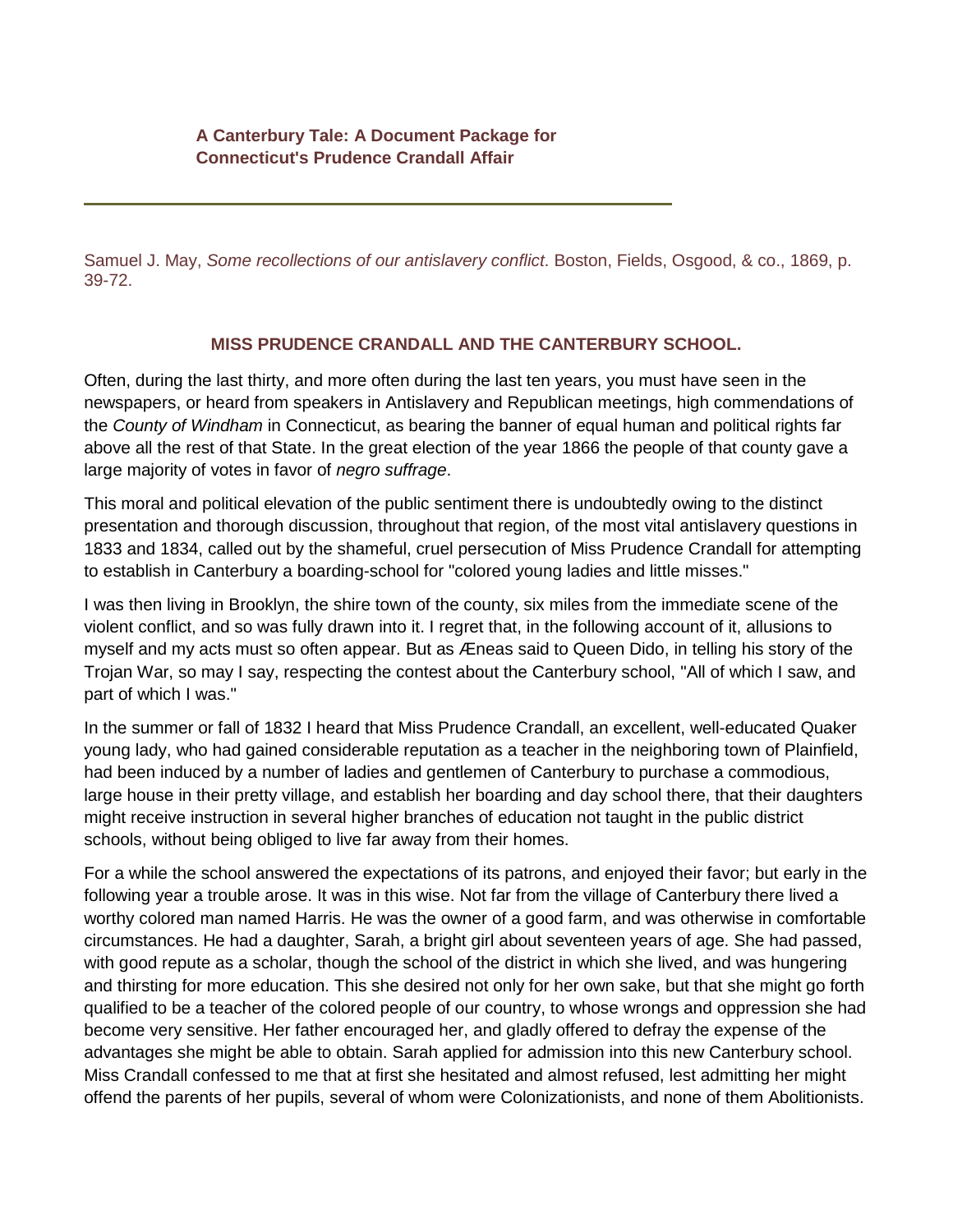Samuel J. May, *Some recollections of our antislavery conflict*. Boston, Fields, Osgood, & co., 1869, p. 39-72.

## **MISS PRUDENCE CRANDALL AND THE CANTERBURY SCHOOL.**

Often, during the last thirty, and more often during the last ten years, you must have seen in the newspapers, or heard from speakers in Antislavery and Republican meetings, high commendations of the *County of Windham* in Connecticut, as bearing the banner of equal human and political rights far above all the rest of that State. In the great election of the year 1866 the people of that county gave a large majority of votes in favor of *negro suffrage*.

This moral and political elevation of the public sentiment there is undoubtedly owing to the distinct presentation and thorough discussion, throughout that region, of the most vital antislavery questions in 1833 and 1834, called out by the shameful, cruel persecution of Miss Prudence Crandall for attempting to establish in Canterbury a boarding-school for "colored young ladies and little misses."

I was then living in Brooklyn, the shire town of the county, six miles from the immediate scene of the violent conflict, and so was fully drawn into it. I regret that, in the following account of it, allusions to myself and my acts must so often appear. But as Æneas said to Queen Dido, in telling his story of the Trojan War, so may I say, respecting the contest about the Canterbury school, "All of which I saw, and part of which I was."

In the summer or fall of 1832 I heard that Miss Prudence Crandall, an excellent, well-educated Quaker young lady, who had gained considerable reputation as a teacher in the neighboring town of Plainfield, had been induced by a number of ladies and gentlemen of Canterbury to purchase a commodious, large house in their pretty village, and establish her boarding and day school there, that their daughters might receive instruction in several higher branches of education not taught in the public district schools, without being obliged to live far away from their homes.

For a while the school answered the expectations of its patrons, and enjoyed their favor; but early in the following year a trouble arose. It was in this wise. Not far from the village of Canterbury there lived a worthy colored man named Harris. He was the owner of a good farm, and was otherwise in comfortable circumstances. He had a daughter, Sarah, a bright girl about seventeen years of age. She had passed, with good repute as a scholar, though the school of the district in which she lived, and was hungering and thirsting for more education. This she desired not only for her own sake, but that she might go forth qualified to be a teacher of the colored people of our country, to whose wrongs and oppression she had become very sensitive. Her father encouraged her, and gladly offered to defray the expense of the advantages she might be able to obtain. Sarah applied for admission into this new Canterbury school. Miss Crandall confessed to me that at first she hesitated and almost refused, lest admitting her might offend the parents of her pupils, several of whom were Colonizationists, and none of them Abolitionists.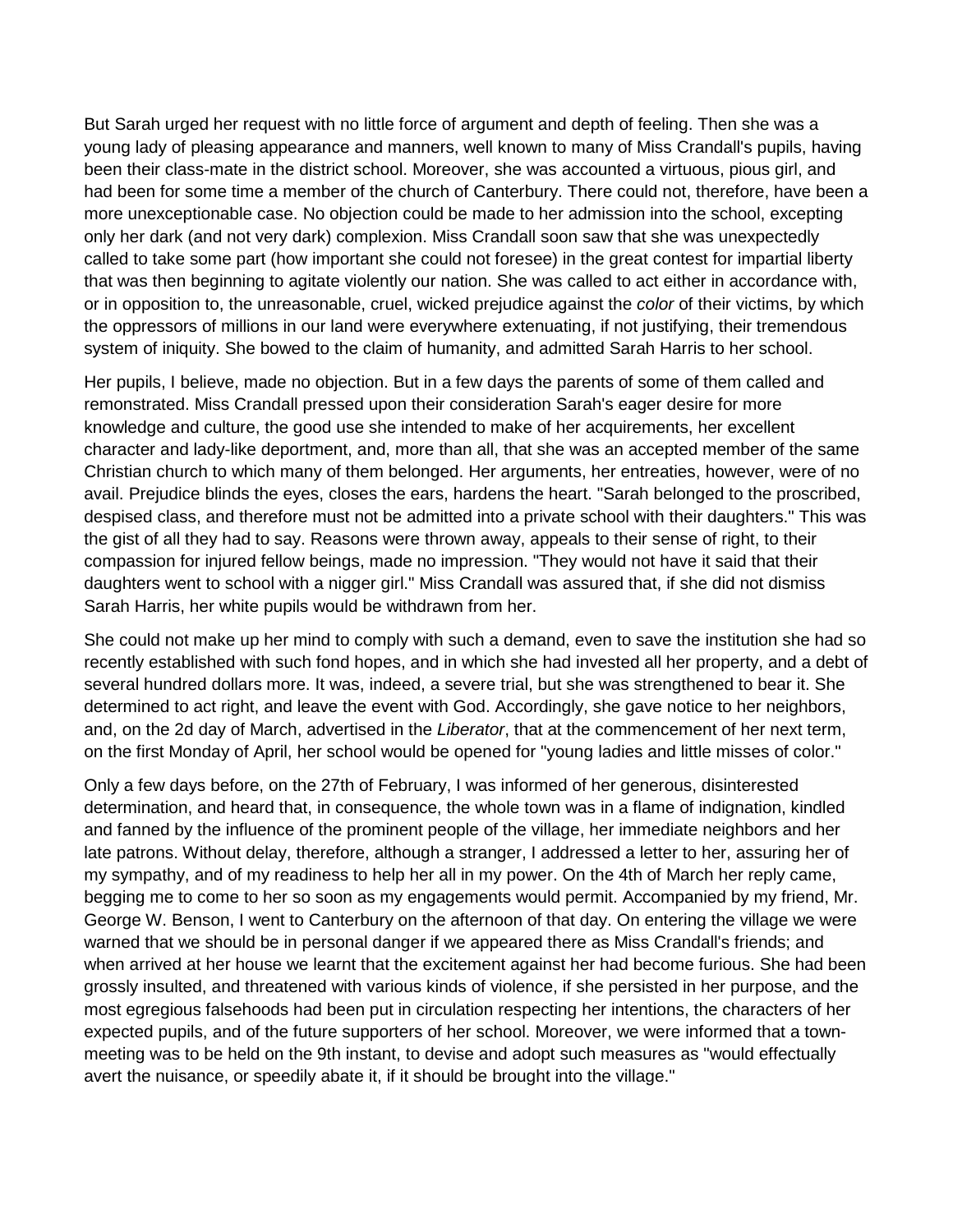But Sarah urged her request with no little force of argument and depth of feeling. Then she was a young lady of pleasing appearance and manners, well known to many of Miss Crandall's pupils, having been their class-mate in the district school. Moreover, she was accounted a virtuous, pious girl, and had been for some time a member of the church of Canterbury. There could not, therefore, have been a more unexceptionable case. No objection could be made to her admission into the school, excepting only her dark (and not very dark) complexion. Miss Crandall soon saw that she was unexpectedly called to take some part (how important she could not foresee) in the great contest for impartial liberty that was then beginning to agitate violently our nation. She was called to act either in accordance with, or in opposition to, the unreasonable, cruel, wicked prejudice against the *color* of their victims, by which the oppressors of millions in our land were everywhere extenuating, if not justifying, their tremendous system of iniquity. She bowed to the claim of humanity, and admitted Sarah Harris to her school.

Her pupils, I believe, made no objection. But in a few days the parents of some of them called and remonstrated. Miss Crandall pressed upon their consideration Sarah's eager desire for more knowledge and culture, the good use she intended to make of her acquirements, her excellent character and lady-like deportment, and, more than all, that she was an accepted member of the same Christian church to which many of them belonged. Her arguments, her entreaties, however, were of no avail. Prejudice blinds the eyes, closes the ears, hardens the heart. "Sarah belonged to the proscribed, despised class, and therefore must not be admitted into a private school with their daughters." This was the gist of all they had to say. Reasons were thrown away, appeals to their sense of right, to their compassion for injured fellow beings, made no impression. "They would not have it said that their daughters went to school with a nigger girl." Miss Crandall was assured that, if she did not dismiss Sarah Harris, her white pupils would be withdrawn from her.

She could not make up her mind to comply with such a demand, even to save the institution she had so recently established with such fond hopes, and in which she had invested all her property, and a debt of several hundred dollars more. It was, indeed, a severe trial, but she was strengthened to bear it. She determined to act right, and leave the event with God. Accordingly, she gave notice to her neighbors, and, on the 2d day of March, advertised in the *Liberator*, that at the commencement of her next term, on the first Monday of April, her school would be opened for "young ladies and little misses of color."

Only a few days before, on the 27th of February, I was informed of her generous, disinterested determination, and heard that, in consequence, the whole town was in a flame of indignation, kindled and fanned by the influence of the prominent people of the village, her immediate neighbors and her late patrons. Without delay, therefore, although a stranger, I addressed a letter to her, assuring her of my sympathy, and of my readiness to help her all in my power. On the 4th of March her reply came, begging me to come to her so soon as my engagements would permit. Accompanied by my friend, Mr. George W. Benson, I went to Canterbury on the afternoon of that day. On entering the village we were warned that we should be in personal danger if we appeared there as Miss Crandall's friends; and when arrived at her house we learnt that the excitement against her had become furious. She had been grossly insulted, and threatened with various kinds of violence, if she persisted in her purpose, and the most egregious falsehoods had been put in circulation respecting her intentions, the characters of her expected pupils, and of the future supporters of her school. Moreover, we were informed that a townmeeting was to be held on the 9th instant, to devise and adopt such measures as "would effectually avert the nuisance, or speedily abate it, if it should be brought into the village."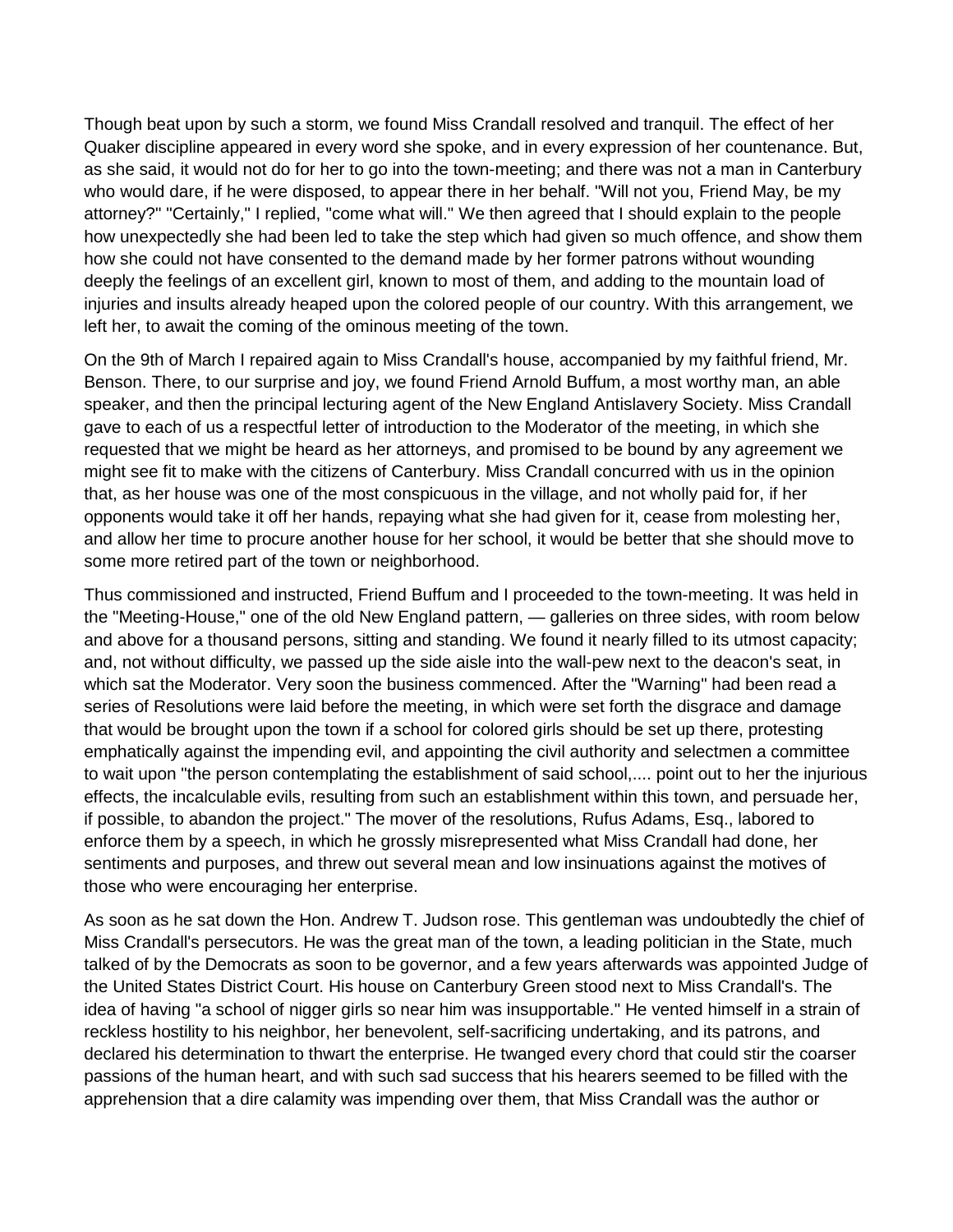Though beat upon by such a storm, we found Miss Crandall resolved and tranquil. The effect of her Quaker discipline appeared in every word she spoke, and in every expression of her countenance. But, as she said, it would not do for her to go into the town-meeting; and there was not a man in Canterbury who would dare, if he were disposed, to appear there in her behalf. "Will not you, Friend May, be my attorney?" "Certainly," I replied, "come what will." We then agreed that I should explain to the people how unexpectedly she had been led to take the step which had given so much offence, and show them how she could not have consented to the demand made by her former patrons without wounding deeply the feelings of an excellent girl, known to most of them, and adding to the mountain load of injuries and insults already heaped upon the colored people of our country. With this arrangement, we left her, to await the coming of the ominous meeting of the town.

On the 9th of March I repaired again to Miss Crandall's house, accompanied by my faithful friend, Mr. Benson. There, to our surprise and joy, we found Friend Arnold Buffum, a most worthy man, an able speaker, and then the principal lecturing agent of the New England Antislavery Society. Miss Crandall gave to each of us a respectful letter of introduction to the Moderator of the meeting, in which she requested that we might be heard as her attorneys, and promised to be bound by any agreement we might see fit to make with the citizens of Canterbury. Miss Crandall concurred with us in the opinion that, as her house was one of the most conspicuous in the village, and not wholly paid for, if her opponents would take it off her hands, repaying what she had given for it, cease from molesting her, and allow her time to procure another house for her school, it would be better that she should move to some more retired part of the town or neighborhood.

Thus commissioned and instructed, Friend Buffum and I proceeded to the town-meeting. It was held in the "Meeting-House," one of the old New England pattern, — galleries on three sides, with room below and above for a thousand persons, sitting and standing. We found it nearly filled to its utmost capacity; and, not without difficulty, we passed up the side aisle into the wall-pew next to the deacon's seat, in which sat the Moderator. Very soon the business commenced. After the "Warning" had been read a series of Resolutions were laid before the meeting, in which were set forth the disgrace and damage that would be brought upon the town if a school for colored girls should be set up there, protesting emphatically against the impending evil, and appointing the civil authority and selectmen a committee to wait upon "the person contemplating the establishment of said school,.... point out to her the injurious effects, the incalculable evils, resulting from such an establishment within this town, and persuade her, if possible, to abandon the project." The mover of the resolutions, Rufus Adams, Esq., labored to enforce them by a speech, in which he grossly misrepresented what Miss Crandall had done, her sentiments and purposes, and threw out several mean and low insinuations against the motives of those who were encouraging her enterprise.

As soon as he sat down the Hon. Andrew T. Judson rose. This gentleman was undoubtedly the chief of Miss Crandall's persecutors. He was the great man of the town, a leading politician in the State, much talked of by the Democrats as soon to be governor, and a few years afterwards was appointed Judge of the United States District Court. His house on Canterbury Green stood next to Miss Crandall's. The idea of having "a school of nigger girls so near him was insupportable." He vented himself in a strain of reckless hostility to his neighbor, her benevolent, self-sacrificing undertaking, and its patrons, and declared his determination to thwart the enterprise. He twanged every chord that could stir the coarser passions of the human heart, and with such sad success that his hearers seemed to be filled with the apprehension that a dire calamity was impending over them, that Miss Crandall was the author or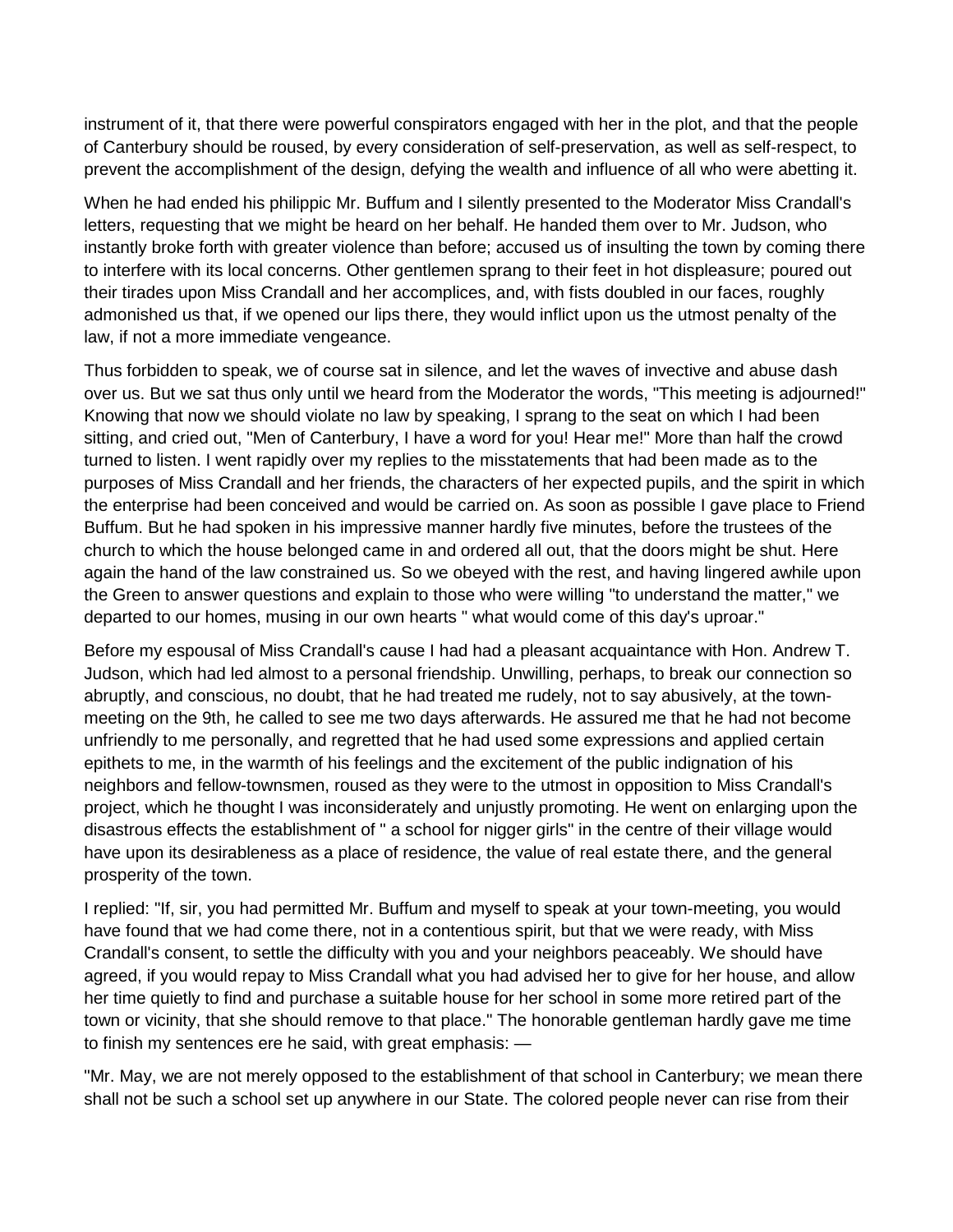instrument of it, that there were powerful conspirators engaged with her in the plot, and that the people of Canterbury should be roused, by every consideration of self-preservation, as well as self-respect, to prevent the accomplishment of the design, defying the wealth and influence of all who were abetting it.

When he had ended his philippic Mr. Buffum and I silently presented to the Moderator Miss Crandall's letters, requesting that we might be heard on her behalf. He handed them over to Mr. Judson, who instantly broke forth with greater violence than before; accused us of insulting the town by coming there to interfere with its local concerns. Other gentlemen sprang to their feet in hot displeasure; poured out their tirades upon Miss Crandall and her accomplices, and, with fists doubled in our faces, roughly admonished us that, if we opened our lips there, they would inflict upon us the utmost penalty of the law, if not a more immediate vengeance.

Thus forbidden to speak, we of course sat in silence, and let the waves of invective and abuse dash over us. But we sat thus only until we heard from the Moderator the words, "This meeting is adjourned!" Knowing that now we should violate no law by speaking, I sprang to the seat on which I had been sitting, and cried out, "Men of Canterbury, I have a word for you! Hear me!" More than half the crowd turned to listen. I went rapidly over my replies to the misstatements that had been made as to the purposes of Miss Crandall and her friends, the characters of her expected pupils, and the spirit in which the enterprise had been conceived and would be carried on. As soon as possible I gave place to Friend Buffum. But he had spoken in his impressive manner hardly five minutes, before the trustees of the church to which the house belonged came in and ordered all out, that the doors might be shut. Here again the hand of the law constrained us. So we obeyed with the rest, and having lingered awhile upon the Green to answer questions and explain to those who were willing "to understand the matter," we departed to our homes, musing in our own hearts " what would come of this day's uproar."

Before my espousal of Miss Crandall's cause I had had a pleasant acquaintance with Hon. Andrew T. Judson, which had led almost to a personal friendship. Unwilling, perhaps, to break our connection so abruptly, and conscious, no doubt, that he had treated me rudely, not to say abusively, at the townmeeting on the 9th, he called to see me two days afterwards. He assured me that he had not become unfriendly to me personally, and regretted that he had used some expressions and applied certain epithets to me, in the warmth of his feelings and the excitement of the public indignation of his neighbors and fellow-townsmen, roused as they were to the utmost in opposition to Miss Crandall's project, which he thought I was inconsiderately and unjustly promoting. He went on enlarging upon the disastrous effects the establishment of " a school for nigger girls" in the centre of their village would have upon its desirableness as a place of residence, the value of real estate there, and the general prosperity of the town.

I replied: "If, sir, you had permitted Mr. Buffum and myself to speak at your town-meeting, you would have found that we had come there, not in a contentious spirit, but that we were ready, with Miss Crandall's consent, to settle the difficulty with you and your neighbors peaceably. We should have agreed, if you would repay to Miss Crandall what you had advised her to give for her house, and allow her time quietly to find and purchase a suitable house for her school in some more retired part of the town or vicinity, that she should remove to that place." The honorable gentleman hardly gave me time to finish my sentences ere he said, with great emphasis: —

"Mr. May, we are not merely opposed to the establishment of that school in Canterbury; we mean there shall not be such a school set up anywhere in our State. The colored people never can rise from their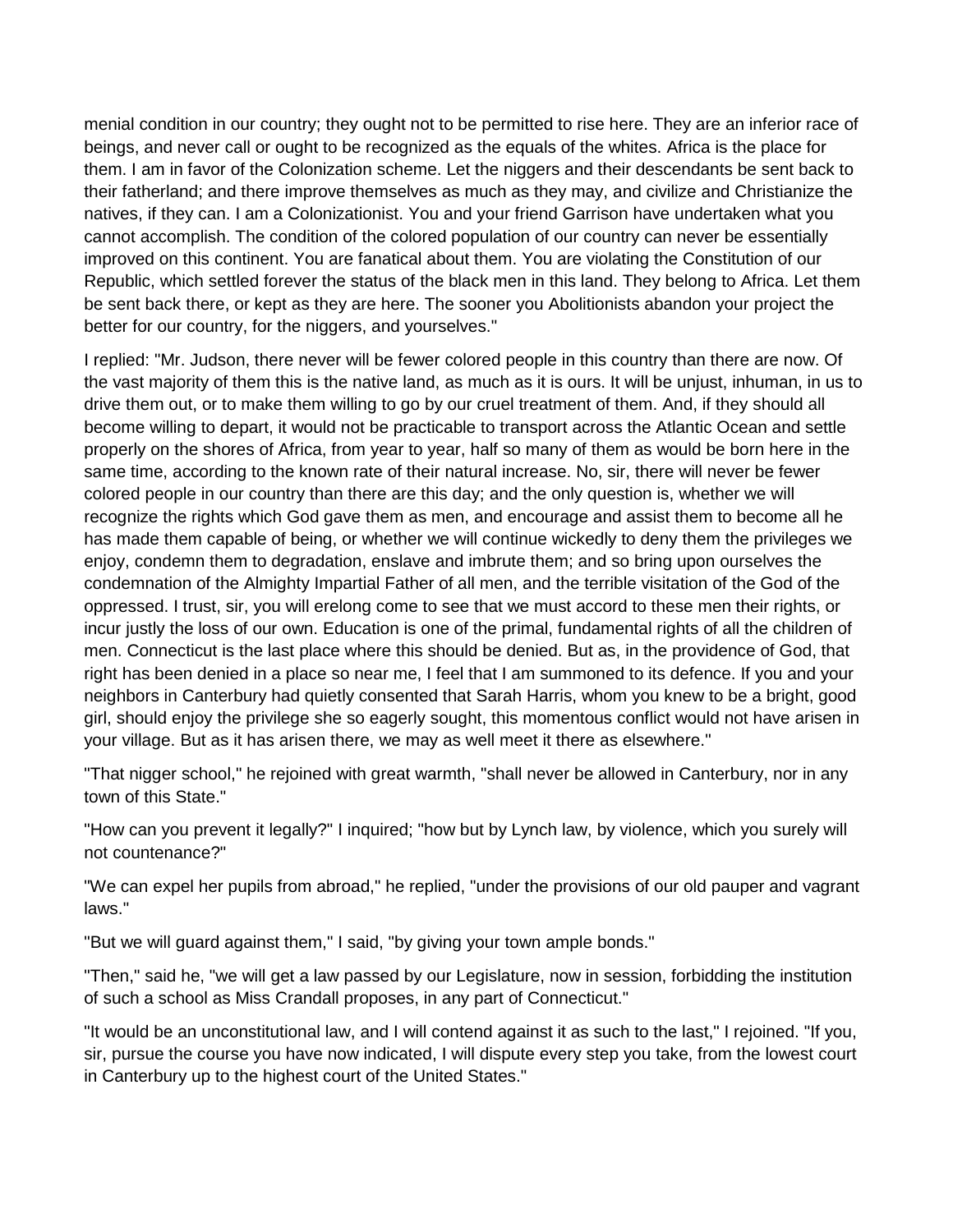menial condition in our country; they ought not to be permitted to rise here. They are an inferior race of beings, and never call or ought to be recognized as the equals of the whites. Africa is the place for them. I am in favor of the Colonization scheme. Let the niggers and their descendants be sent back to their fatherland; and there improve themselves as much as they may, and civilize and Christianize the natives, if they can. I am a Colonizationist. You and your friend Garrison have undertaken what you cannot accomplish. The condition of the colored population of our country can never be essentially improved on this continent. You are fanatical about them. You are violating the Constitution of our Republic, which settled forever the status of the black men in this land. They belong to Africa. Let them be sent back there, or kept as they are here. The sooner you Abolitionists abandon your project the better for our country, for the niggers, and yourselves."

I replied: "Mr. Judson, there never will be fewer colored people in this country than there are now. Of the vast majority of them this is the native land, as much as it is ours. It will be unjust, inhuman, in us to drive them out, or to make them willing to go by our cruel treatment of them. And, if they should all become willing to depart, it would not be practicable to transport across the Atlantic Ocean and settle properly on the shores of Africa, from year to year, half so many of them as would be born here in the same time, according to the known rate of their natural increase. No, sir, there will never be fewer colored people in our country than there are this day; and the only question is, whether we will recognize the rights which God gave them as men, and encourage and assist them to become all he has made them capable of being, or whether we will continue wickedly to deny them the privileges we enjoy, condemn them to degradation, enslave and imbrute them; and so bring upon ourselves the condemnation of the Almighty Impartial Father of all men, and the terrible visitation of the God of the oppressed. I trust, sir, you will erelong come to see that we must accord to these men their rights, or incur justly the loss of our own. Education is one of the primal, fundamental rights of all the children of men. Connecticut is the last place where this should be denied. But as, in the providence of God, that right has been denied in a place so near me, I feel that I am summoned to its defence. If you and your neighbors in Canterbury had quietly consented that Sarah Harris, whom you knew to be a bright, good girl, should enjoy the privilege she so eagerly sought, this momentous conflict would not have arisen in your village. But as it has arisen there, we may as well meet it there as elsewhere."

"That nigger school," he rejoined with great warmth, "shall never be allowed in Canterbury, nor in any town of this State."

"How can you prevent it legally?" I inquired; "how but by Lynch law, by violence, which you surely will not countenance?"

"We can expel her pupils from abroad," he replied, "under the provisions of our old pauper and vagrant laws."

"But we will guard against them," I said, "by giving your town ample bonds."

"Then," said he, "we will get a law passed by our Legislature, now in session, forbidding the institution of such a school as Miss Crandall proposes, in any part of Connecticut."

"It would be an unconstitutional law, and I will contend against it as such to the last," I rejoined. "If you, sir, pursue the course you have now indicated, I will dispute every step you take, from the lowest court in Canterbury up to the highest court of the United States."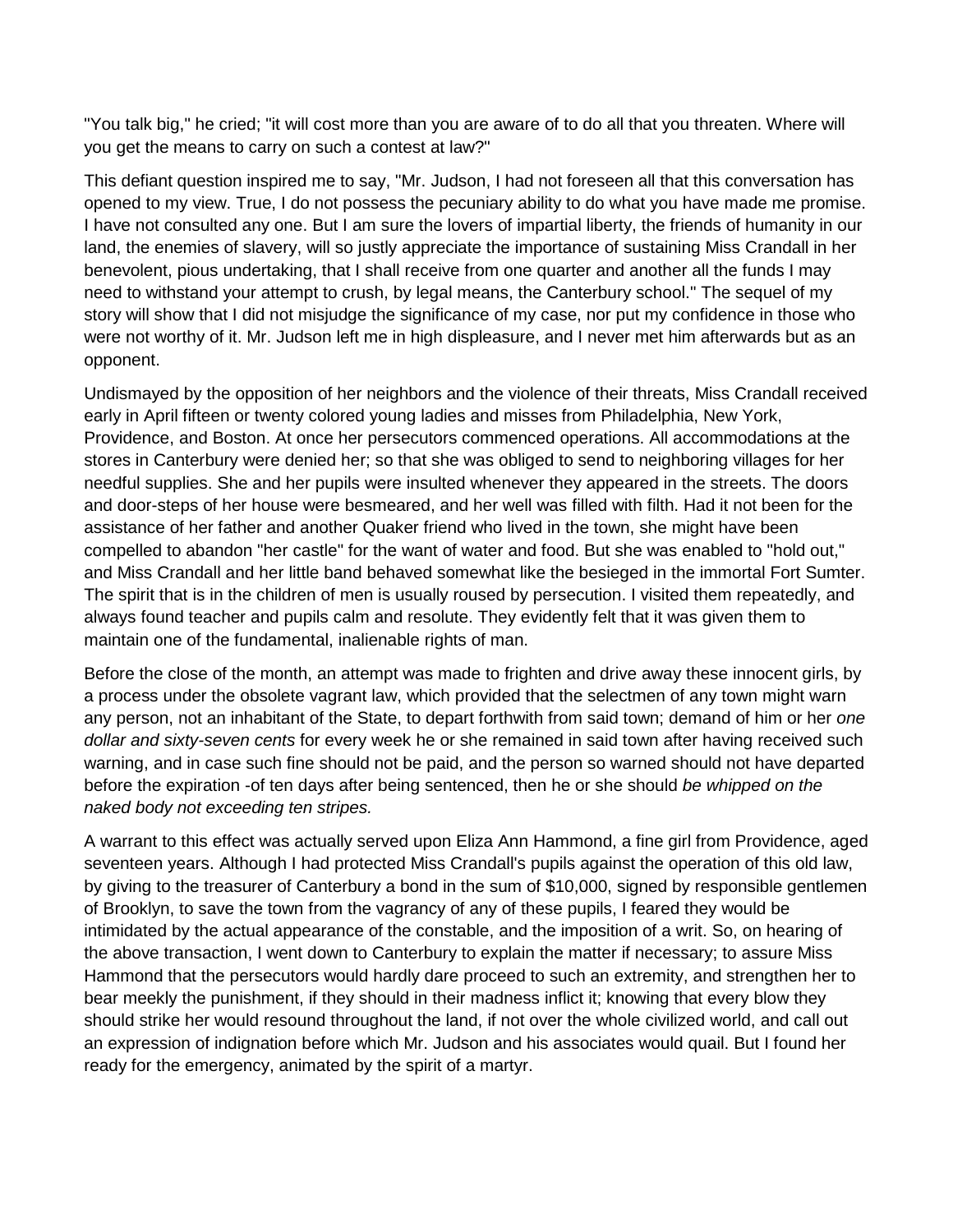"You talk big," he cried; "it will cost more than you are aware of to do all that you threaten. Where will you get the means to carry on such a contest at law?"

This defiant question inspired me to say, "Mr. Judson, I had not foreseen all that this conversation has opened to my view. True, I do not possess the pecuniary ability to do what you have made me promise. I have not consulted any one. But I am sure the lovers of impartial liberty, the friends of humanity in our land, the enemies of slavery, will so justly appreciate the importance of sustaining Miss Crandall in her benevolent, pious undertaking, that I shall receive from one quarter and another all the funds I may need to withstand your attempt to crush, by legal means, the Canterbury school." The sequel of my story will show that I did not misjudge the significance of my case, nor put my confidence in those who were not worthy of it. Mr. Judson left me in high displeasure, and I never met him afterwards but as an opponent.

Undismayed by the opposition of her neighbors and the violence of their threats, Miss Crandall received early in April fifteen or twenty colored young ladies and misses from Philadelphia, New York, Providence, and Boston. At once her persecutors commenced operations. All accommodations at the stores in Canterbury were denied her; so that she was obliged to send to neighboring villages for her needful supplies. She and her pupils were insulted whenever they appeared in the streets. The doors and door-steps of her house were besmeared, and her well was filled with filth. Had it not been for the assistance of her father and another Quaker friend who lived in the town, she might have been compelled to abandon "her castle" for the want of water and food. But she was enabled to "hold out," and Miss Crandall and her little band behaved somewhat like the besieged in the immortal Fort Sumter. The spirit that is in the children of men is usually roused by persecution. I visited them repeatedly, and always found teacher and pupils calm and resolute. They evidently felt that it was given them to maintain one of the fundamental, inalienable rights of man.

Before the close of the month, an attempt was made to frighten and drive away these innocent girls, by a process under the obsolete vagrant law, which provided that the selectmen of any town might warn any person, not an inhabitant of the State, to depart forthwith from said town; demand of him or her *one dollar and sixty-seven cents* for every week he or she remained in said town after having received such warning, and in case such fine should not be paid, and the person so warned should not have departed before the expiration -of ten days after being sentenced, then he or she should *be whipped on the naked body not exceeding ten stripes.*

A warrant to this effect was actually served upon Eliza Ann Hammond, a fine girl from Providence, aged seventeen years. Although I had protected Miss Crandall's pupils against the operation of this old law, by giving to the treasurer of Canterbury a bond in the sum of \$10,000, signed by responsible gentlemen of Brooklyn, to save the town from the vagrancy of any of these pupils, I feared they would be intimidated by the actual appearance of the constable, and the imposition of a writ. So, on hearing of the above transaction, I went down to Canterbury to explain the matter if necessary; to assure Miss Hammond that the persecutors would hardly dare proceed to such an extremity, and strengthen her to bear meekly the punishment, if they should in their madness inflict it; knowing that every blow they should strike her would resound throughout the land, if not over the whole civilized world, and call out an expression of indignation before which Mr. Judson and his associates would quail. But I found her ready for the emergency, animated by the spirit of a martyr.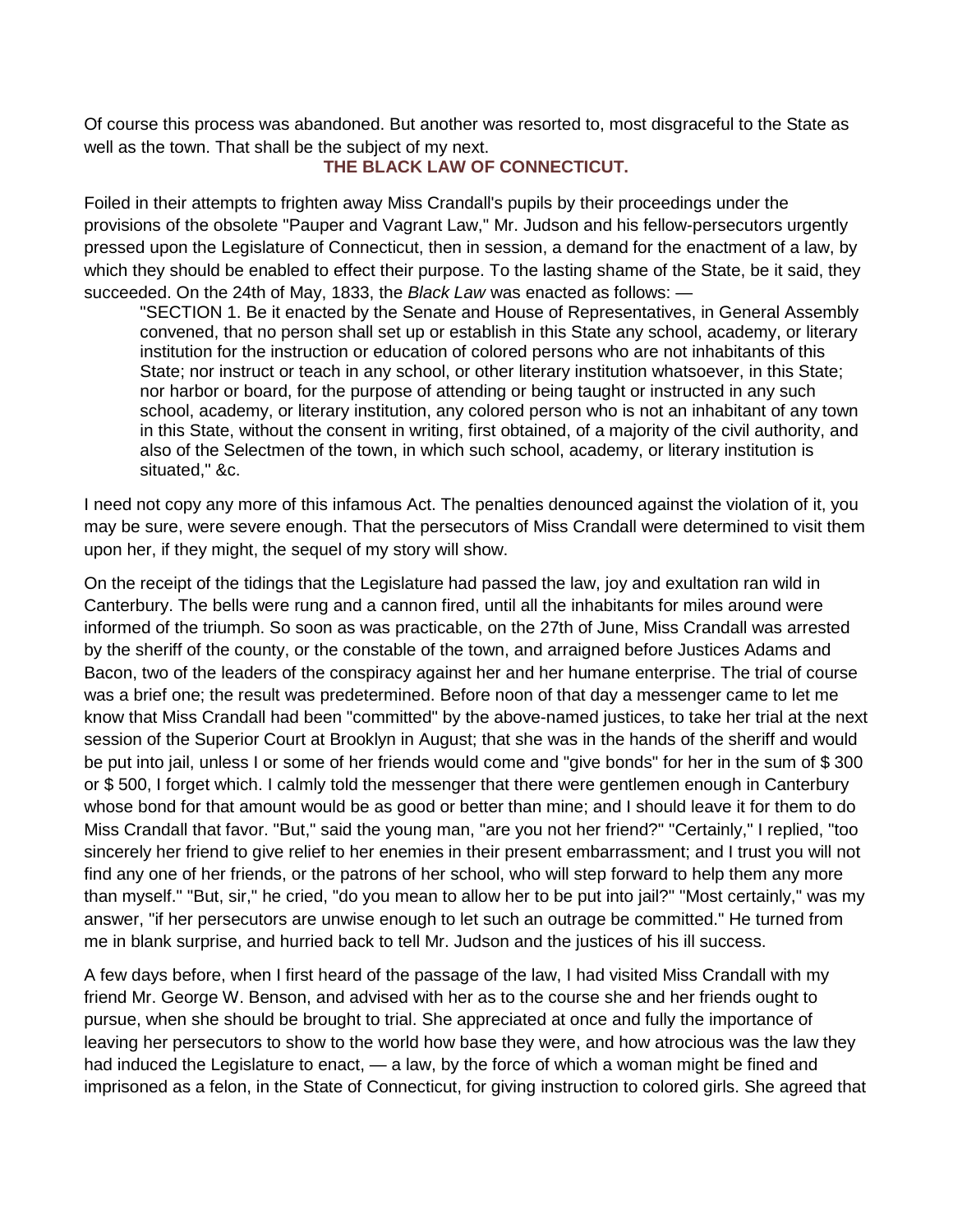Of course this process was abandoned. But another was resorted to, most disgraceful to the State as well as the town. That shall be the subject of my next.

## **THE BLACK LAW OF CONNECTICUT.**

Foiled in their attempts to frighten away Miss Crandall's pupils by their proceedings under the provisions of the obsolete "Pauper and Vagrant Law," Mr. Judson and his fellow-persecutors urgently pressed upon the Legislature of Connecticut, then in session, a demand for the enactment of a law, by which they should be enabled to effect their purpose. To the lasting shame of the State, be it said, they succeeded. On the 24th of May, 1833, the *Black Law* was enacted as follows: —

"SECTION 1. Be it enacted by the Senate and House of Representatives, in General Assembly convened, that no person shall set up or establish in this State any school, academy, or literary institution for the instruction or education of colored persons who are not inhabitants of this State; nor instruct or teach in any school, or other literary institution whatsoever, in this State; nor harbor or board, for the purpose of attending or being taught or instructed in any such school, academy, or literary institution, any colored person who is not an inhabitant of any town in this State, without the consent in writing, first obtained, of a majority of the civil authority, and also of the Selectmen of the town, in which such school, academy, or literary institution is situated," &c.

I need not copy any more of this infamous Act. The penalties denounced against the violation of it, you may be sure, were severe enough. That the persecutors of Miss Crandall were determined to visit them upon her, if they might, the sequel of my story will show.

On the receipt of the tidings that the Legislature had passed the law, joy and exultation ran wild in Canterbury. The bells were rung and a cannon fired, until all the inhabitants for miles around were informed of the triumph. So soon as was practicable, on the 27th of June, Miss Crandall was arrested by the sheriff of the county, or the constable of the town, and arraigned before Justices Adams and Bacon, two of the leaders of the conspiracy against her and her humane enterprise. The trial of course was a brief one; the result was predetermined. Before noon of that day a messenger came to let me know that Miss Crandall had been "committed" by the above-named justices, to take her trial at the next session of the Superior Court at Brooklyn in August; that she was in the hands of the sheriff and would be put into jail, unless I or some of her friends would come and "give bonds" for her in the sum of \$ 300 or \$ 500, I forget which. I calmly told the messenger that there were gentlemen enough in Canterbury whose bond for that amount would be as good or better than mine; and I should leave it for them to do Miss Crandall that favor. "But," said the young man, "are you not her friend?" "Certainly," I replied, "too sincerely her friend to give relief to her enemies in their present embarrassment; and I trust you will not find any one of her friends, or the patrons of her school, who will step forward to help them any more than myself." "But, sir," he cried, "do you mean to allow her to be put into jail?" "Most certainly," was my answer, "if her persecutors are unwise enough to let such an outrage be committed." He turned from me in blank surprise, and hurried back to tell Mr. Judson and the justices of his ill success.

A few days before, when I first heard of the passage of the law, I had visited Miss Crandall with my friend Mr. George W. Benson, and advised with her as to the course she and her friends ought to pursue, when she should be brought to trial. She appreciated at once and fully the importance of leaving her persecutors to show to the world how base they were, and how atrocious was the law they had induced the Legislature to enact, — a law, by the force of which a woman might be fined and imprisoned as a felon, in the State of Connecticut, for giving instruction to colored girls. She agreed that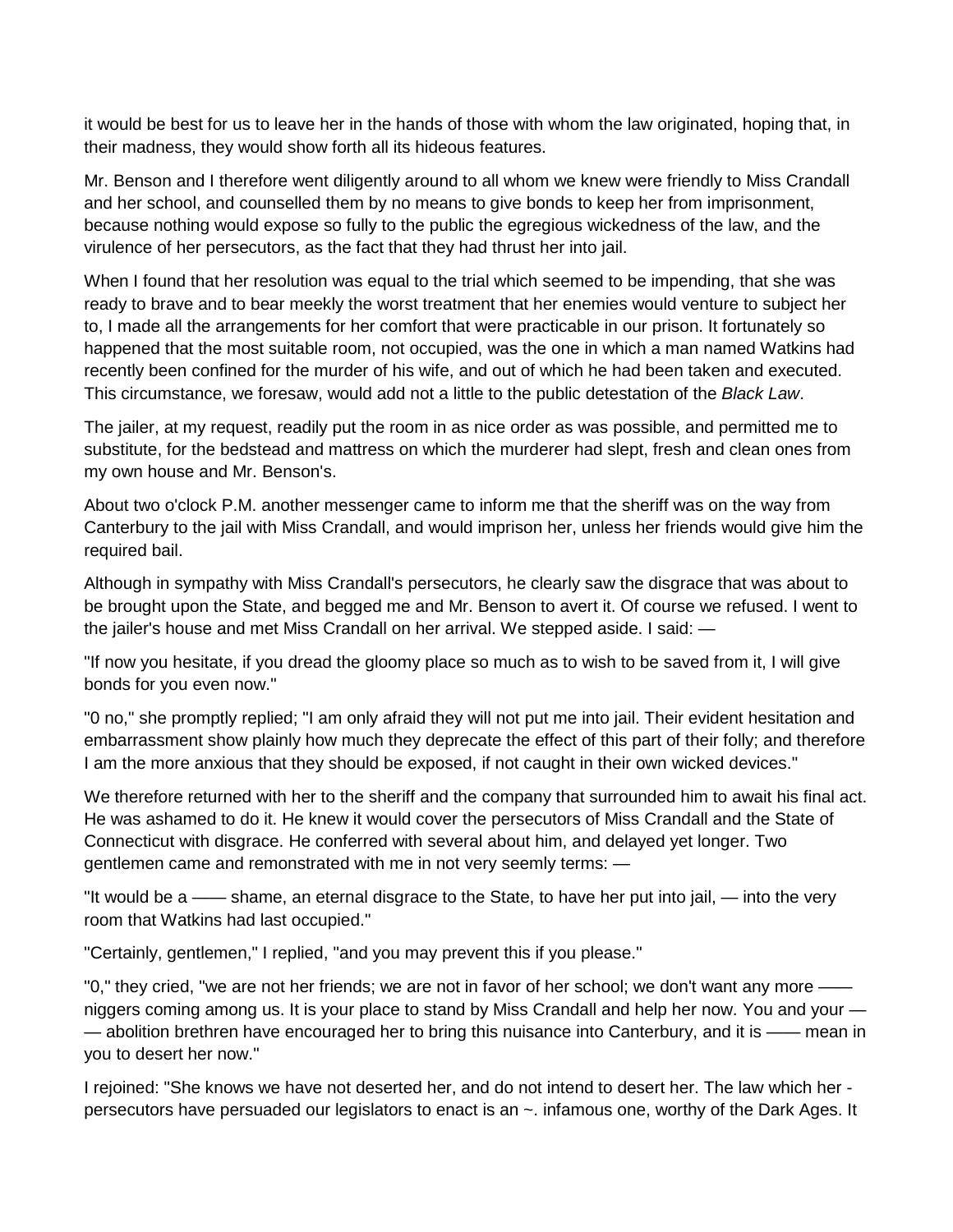it would be best for us to leave her in the hands of those with whom the law originated, hoping that, in their madness, they would show forth all its hideous features.

Mr. Benson and I therefore went diligently around to all whom we knew were friendly to Miss Crandall and her school, and counselled them by no means to give bonds to keep her from imprisonment, because nothing would expose so fully to the public the egregious wickedness of the law, and the virulence of her persecutors, as the fact that they had thrust her into jail.

When I found that her resolution was equal to the trial which seemed to be impending, that she was ready to brave and to bear meekly the worst treatment that her enemies would venture to subject her to, I made all the arrangements for her comfort that were practicable in our prison. It fortunately so happened that the most suitable room, not occupied, was the one in which a man named Watkins had recently been confined for the murder of his wife, and out of which he had been taken and executed. This circumstance, we foresaw, would add not a little to the public detestation of the *Black Law*.

The jailer, at my request, readily put the room in as nice order as was possible, and permitted me to substitute, for the bedstead and mattress on which the murderer had slept, fresh and clean ones from my own house and Mr. Benson's.

About two o'clock P.M. another messenger came to inform me that the sheriff was on the way from Canterbury to the jail with Miss Crandall, and would imprison her, unless her friends would give him the required bail.

Although in sympathy with Miss Crandall's persecutors, he clearly saw the disgrace that was about to be brought upon the State, and begged me and Mr. Benson to avert it. Of course we refused. I went to the jailer's house and met Miss Crandall on her arrival. We stepped aside. I said: —

"If now you hesitate, if you dread the gloomy place so much as to wish to be saved from it, I will give bonds for you even now."

"0 no," she promptly replied; "I am only afraid they will not put me into jail. Their evident hesitation and embarrassment show plainly how much they deprecate the effect of this part of their folly; and therefore I am the more anxious that they should be exposed, if not caught in their own wicked devices."

We therefore returned with her to the sheriff and the company that surrounded him to await his final act. He was ashamed to do it. He knew it would cover the persecutors of Miss Crandall and the State of Connecticut with disgrace. He conferred with several about him, and delayed yet longer. Two gentlemen came and remonstrated with me in not very seemly terms: —

"It would be a —— shame, an eternal disgrace to the State, to have her put into jail, — into the very room that Watkins had last occupied."

"Certainly, gentlemen," I replied, "and you may prevent this if you please."

"0," they cried, "we are not her friends; we are not in favor of her school; we don't want any more niggers coming among us. It is your place to stand by Miss Crandall and help her now. You and your — — abolition brethren have encouraged her to bring this nuisance into Canterbury, and it is —— mean in you to desert her now."

I rejoined: "She knows we have not deserted her, and do not intend to desert her. The law which her persecutors have persuaded our legislators to enact is an ~. infamous one, worthy of the Dark Ages. It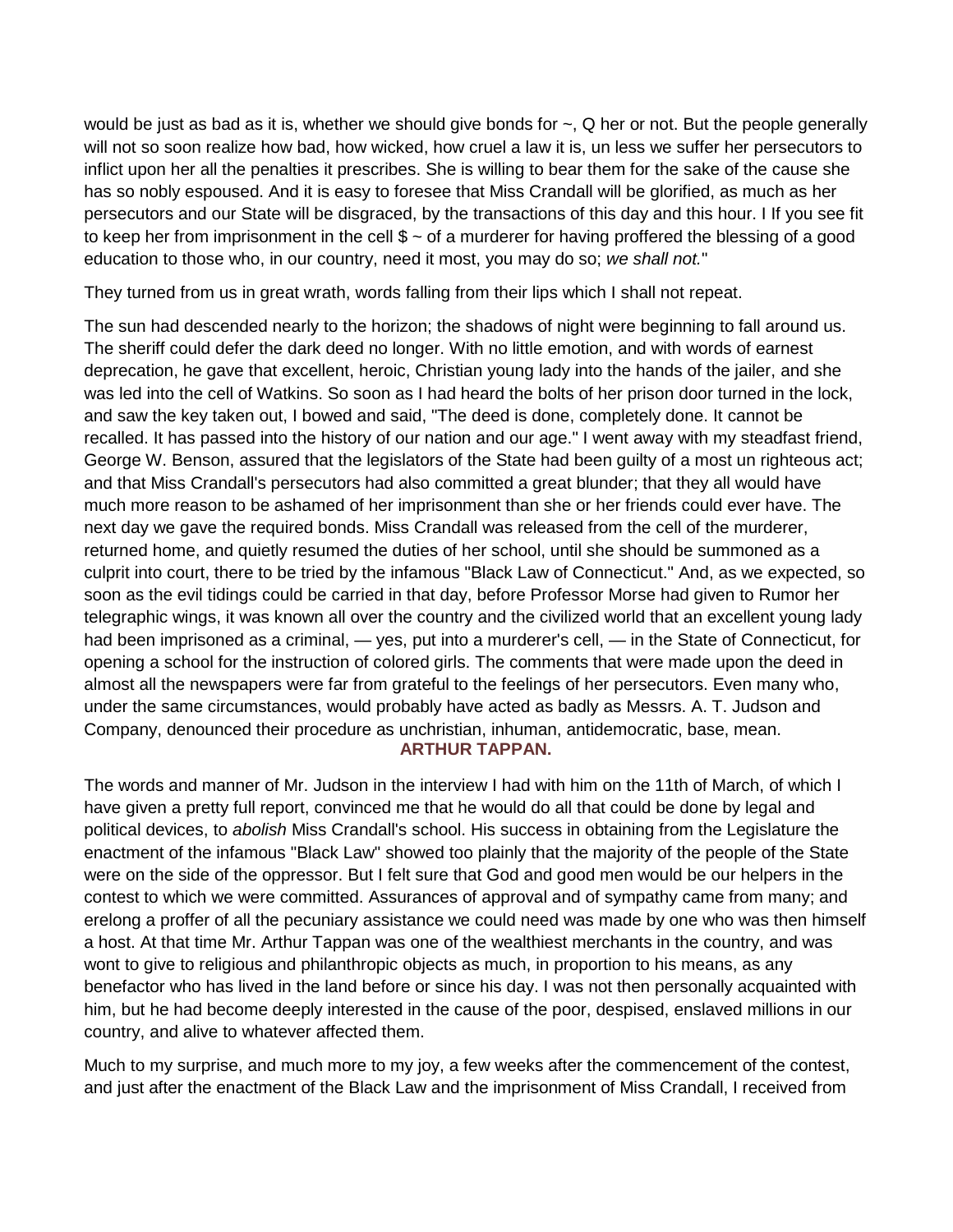would be just as bad as it is, whether we should give bonds for ~, Q her or not. But the people generally will not so soon realize how bad, how wicked, how cruel a law it is, un less we suffer her persecutors to inflict upon her all the penalties it prescribes. She is willing to bear them for the sake of the cause she has so nobly espoused. And it is easy to foresee that Miss Crandall will be glorified, as much as her persecutors and our State will be disgraced, by the transactions of this day and this hour. I If you see fit to keep her from imprisonment in the cell  $\frac{1}{2}$   $\sim$  of a murderer for having proffered the blessing of a good education to those who, in our country, need it most, you may do so; *we shall not.*"

They turned from us in great wrath, words falling from their lips which I shall not repeat.

The sun had descended nearly to the horizon; the shadows of night were beginning to fall around us. The sheriff could defer the dark deed no longer. With no little emotion, and with words of earnest deprecation, he gave that excellent, heroic, Christian young lady into the hands of the jailer, and she was led into the cell of Watkins. So soon as I had heard the bolts of her prison door turned in the lock, and saw the key taken out, I bowed and said, "The deed is done, completely done. It cannot be recalled. It has passed into the history of our nation and our age." I went away with my steadfast friend, George W. Benson, assured that the legislators of the State had been guilty of a most un righteous act; and that Miss Crandall's persecutors had also committed a great blunder; that they all would have much more reason to be ashamed of her imprisonment than she or her friends could ever have. The next day we gave the required bonds. Miss Crandall was released from the cell of the murderer, returned home, and quietly resumed the duties of her school, until she should be summoned as a culprit into court, there to be tried by the infamous "Black Law of Connecticut." And, as we expected, so soon as the evil tidings could be carried in that day, before Professor Morse had given to Rumor her telegraphic wings, it was known all over the country and the civilized world that an excellent young lady had been imprisoned as a criminal, — yes, put into a murderer's cell, — in the State of Connecticut, for opening a school for the instruction of colored girls. The comments that were made upon the deed in almost all the newspapers were far from grateful to the feelings of her persecutors. Even many who, under the same circumstances, would probably have acted as badly as Messrs. A. T. Judson and Company, denounced their procedure as unchristian, inhuman, antidemocratic, base, mean.

**ARTHUR TAPPAN.**

The words and manner of Mr. Judson in the interview I had with him on the 11th of March, of which I have given a pretty full report, convinced me that he would do all that could be done by legal and political devices, to *abolish* Miss Crandall's school. His success in obtaining from the Legislature the enactment of the infamous "Black Law" showed too plainly that the majority of the people of the State were on the side of the oppressor. But I felt sure that God and good men would be our helpers in the contest to which we were committed. Assurances of approval and of sympathy came from many; and erelong a proffer of all the pecuniary assistance we could need was made by one who was then himself a host. At that time Mr. Arthur Tappan was one of the wealthiest merchants in the country, and was wont to give to religious and philanthropic objects as much, in proportion to his means, as any benefactor who has lived in the land before or since his day. I was not then personally acquainted with him, but he had become deeply interested in the cause of the poor, despised, enslaved millions in our country, and alive to whatever affected them.

Much to my surprise, and much more to my joy, a few weeks after the commencement of the contest, and just after the enactment of the Black Law and the imprisonment of Miss Crandall, I received from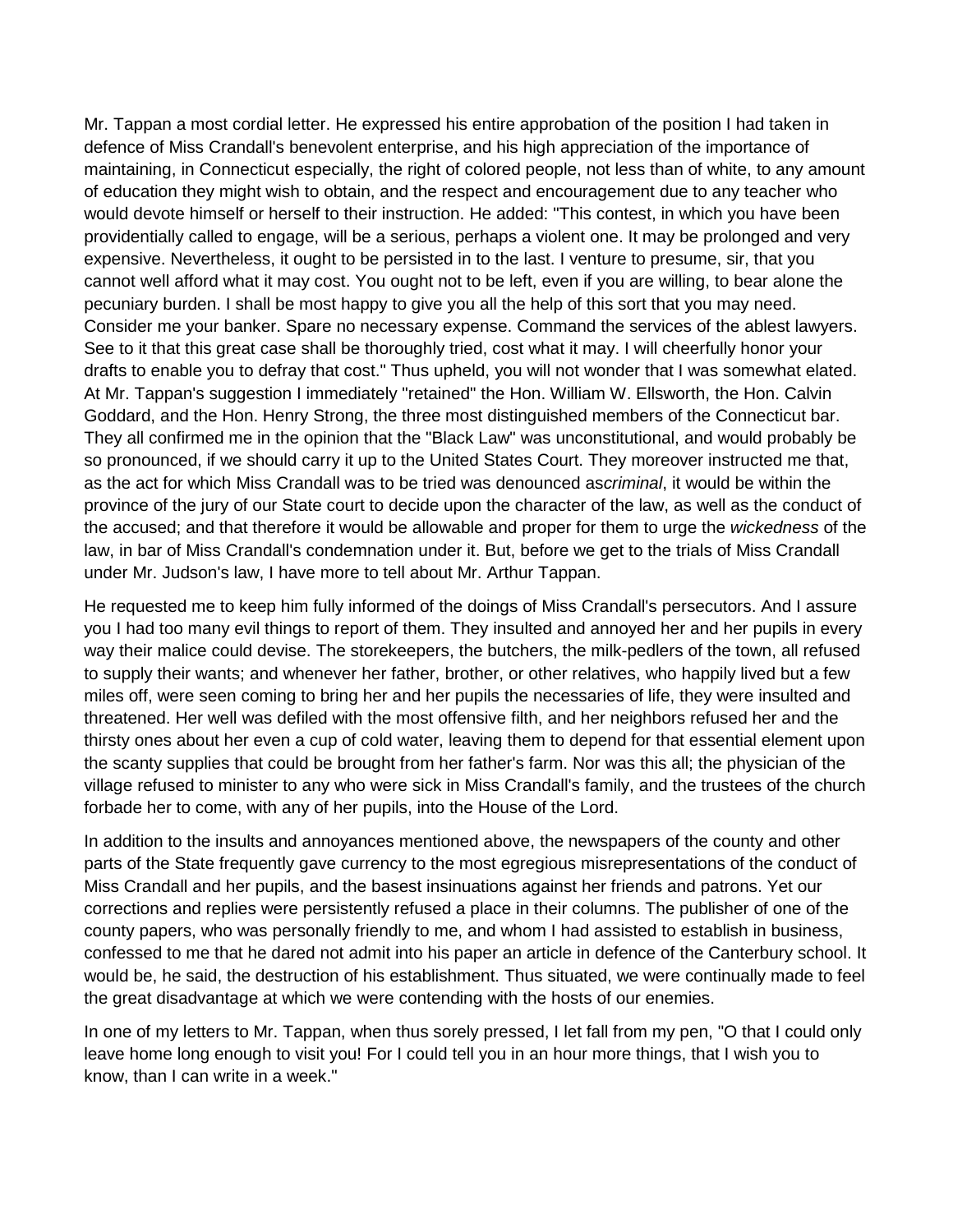Mr. Tappan a most cordial letter. He expressed his entire approbation of the position I had taken in defence of Miss Crandall's benevolent enterprise, and his high appreciation of the importance of maintaining, in Connecticut especially, the right of colored people, not less than of white, to any amount of education they might wish to obtain, and the respect and encouragement due to any teacher who would devote himself or herself to their instruction. He added: "This contest, in which you have been providentially called to engage, will be a serious, perhaps a violent one. It may be prolonged and very expensive. Nevertheless, it ought to be persisted in to the last. I venture to presume, sir, that you cannot well afford what it may cost. You ought not to be left, even if you are willing, to bear alone the pecuniary burden. I shall be most happy to give you all the help of this sort that you may need. Consider me your banker. Spare no necessary expense. Command the services of the ablest lawyers. See to it that this great case shall be thoroughly tried, cost what it may. I will cheerfully honor your drafts to enable you to defray that cost." Thus upheld, you will not wonder that I was somewhat elated. At Mr. Tappan's suggestion I immediately "retained" the Hon. William W. Ellsworth, the Hon. Calvin Goddard, and the Hon. Henry Strong, the three most distinguished members of the Connecticut bar. They all confirmed me in the opinion that the "Black Law" was unconstitutional, and would probably be so pronounced, if we should carry it up to the United States Court. They moreover instructed me that, as the act for which Miss Crandall was to be tried was denounced as*criminal*, it would be within the province of the jury of our State court to decide upon the character of the law, as well as the conduct of the accused; and that therefore it would be allowable and proper for them to urge the *wickedness* of the law, in bar of Miss Crandall's condemnation under it. But, before we get to the trials of Miss Crandall under Mr. Judson's law, I have more to tell about Mr. Arthur Tappan.

He requested me to keep him fully informed of the doings of Miss Crandall's persecutors. And I assure you I had too many evil things to report of them. They insulted and annoyed her and her pupils in every way their malice could devise. The storekeepers, the butchers, the milk-pedlers of the town, all refused to supply their wants; and whenever her father, brother, or other relatives, who happily lived but a few miles off, were seen coming to bring her and her pupils the necessaries of life, they were insulted and threatened. Her well was defiled with the most offensive filth, and her neighbors refused her and the thirsty ones about her even a cup of cold water, leaving them to depend for that essential element upon the scanty supplies that could be brought from her father's farm. Nor was this all; the physician of the village refused to minister to any who were sick in Miss Crandall's family, and the trustees of the church forbade her to come, with any of her pupils, into the House of the Lord.

In addition to the insults and annoyances mentioned above, the newspapers of the county and other parts of the State frequently gave currency to the most egregious misrepresentations of the conduct of Miss Crandall and her pupils, and the basest insinuations against her friends and patrons. Yet our corrections and replies were persistently refused a place in their columns. The publisher of one of the county papers, who was personally friendly to me, and whom I had assisted to establish in business, confessed to me that he dared not admit into his paper an article in defence of the Canterbury school. It would be, he said, the destruction of his establishment. Thus situated, we were continually made to feel the great disadvantage at which we were contending with the hosts of our enemies.

In one of my letters to Mr. Tappan, when thus sorely pressed, I let fall from my pen, "O that I could only leave home long enough to visit you! For I could tell you in an hour more things, that I wish you to know, than I can write in a week."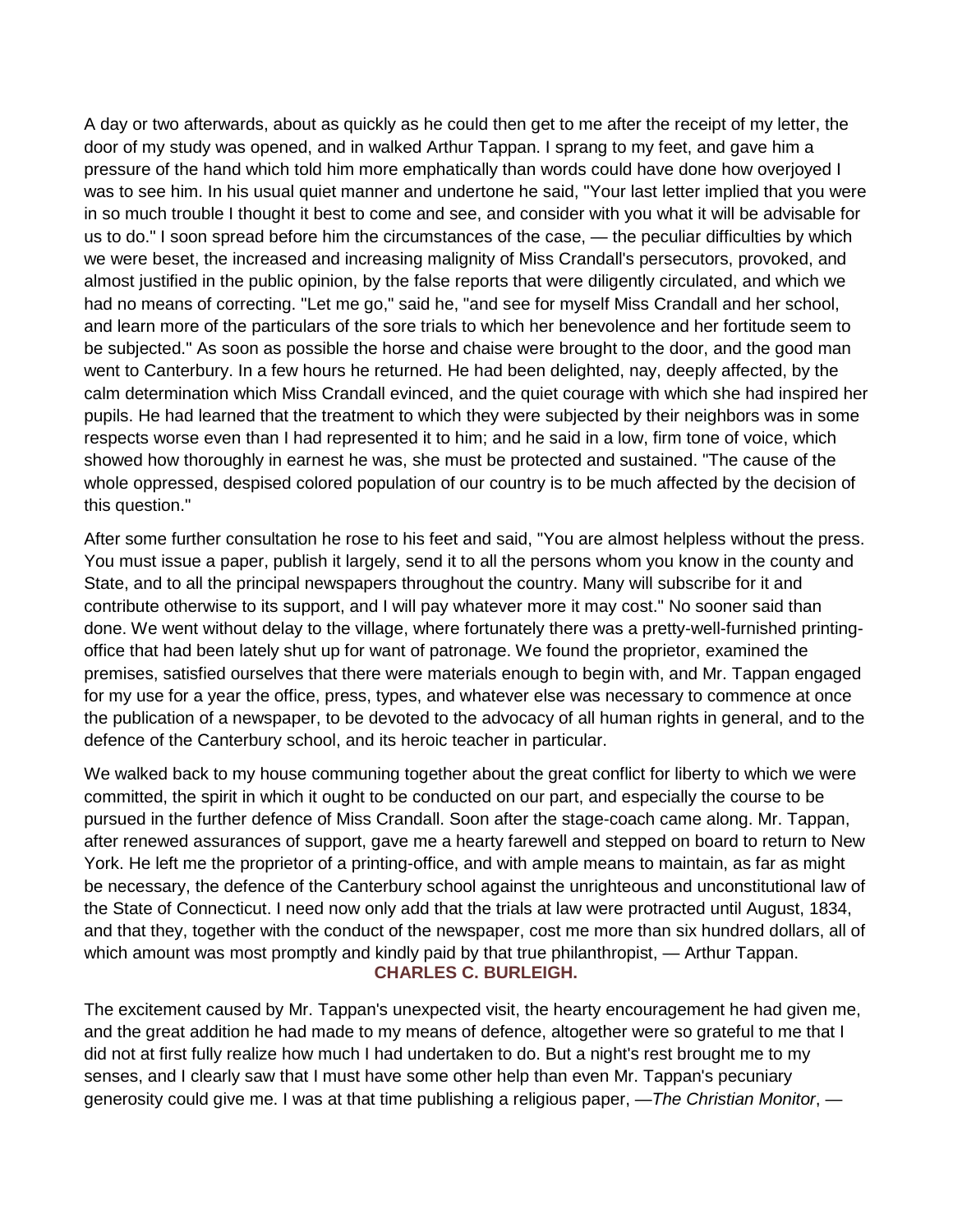A day or two afterwards, about as quickly as he could then get to me after the receipt of my letter, the door of my study was opened, and in walked Arthur Tappan. I sprang to my feet, and gave him a pressure of the hand which told him more emphatically than words could have done how overjoyed I was to see him. In his usual quiet manner and undertone he said, "Your last letter implied that you were in so much trouble I thought it best to come and see, and consider with you what it will be advisable for us to do." I soon spread before him the circumstances of the case, — the peculiar difficulties by which we were beset, the increased and increasing malignity of Miss Crandall's persecutors, provoked, and almost justified in the public opinion, by the false reports that were diligently circulated, and which we had no means of correcting. "Let me go," said he, "and see for myself Miss Crandall and her school, and learn more of the particulars of the sore trials to which her benevolence and her fortitude seem to be subjected." As soon as possible the horse and chaise were brought to the door, and the good man went to Canterbury. In a few hours he returned. He had been delighted, nay, deeply affected, by the calm determination which Miss Crandall evinced, and the quiet courage with which she had inspired her pupils. He had learned that the treatment to which they were subjected by their neighbors was in some respects worse even than I had represented it to him; and he said in a low, firm tone of voice, which showed how thoroughly in earnest he was, she must be protected and sustained. "The cause of the whole oppressed, despised colored population of our country is to be much affected by the decision of this question."

After some further consultation he rose to his feet and said, "You are almost helpless without the press. You must issue a paper, publish it largely, send it to all the persons whom you know in the county and State, and to all the principal newspapers throughout the country. Many will subscribe for it and contribute otherwise to its support, and I will pay whatever more it may cost." No sooner said than done. We went without delay to the village, where fortunately there was a pretty-well-furnished printingoffice that had been lately shut up for want of patronage. We found the proprietor, examined the premises, satisfied ourselves that there were materials enough to begin with, and Mr. Tappan engaged for my use for a year the office, press, types, and whatever else was necessary to commence at once the publication of a newspaper, to be devoted to the advocacy of all human rights in general, and to the defence of the Canterbury school, and its heroic teacher in particular.

We walked back to my house communing together about the great conflict for liberty to which we were committed, the spirit in which it ought to be conducted on our part, and especially the course to be pursued in the further defence of Miss Crandall. Soon after the stage-coach came along. Mr. Tappan, after renewed assurances of support, gave me a hearty farewell and stepped on board to return to New York. He left me the proprietor of a printing-office, and with ample means to maintain, as far as might be necessary, the defence of the Canterbury school against the unrighteous and unconstitutional law of the State of Connecticut. I need now only add that the trials at law were protracted until August, 1834, and that they, together with the conduct of the newspaper, cost me more than six hundred dollars, all of which amount was most promptly and kindly paid by that true philanthropist, — Arthur Tappan. **CHARLES C. BURLEIGH.**

The excitement caused by Mr. Tappan's unexpected visit, the hearty encouragement he had given me, and the great addition he had made to my means of defence, altogether were so grateful to me that I did not at first fully realize how much I had undertaken to do. But a night's rest brought me to my senses, and I clearly saw that I must have some other help than even Mr. Tappan's pecuniary generosity could give me. I was at that time publishing a religious paper, —*The Christian Monitor*, —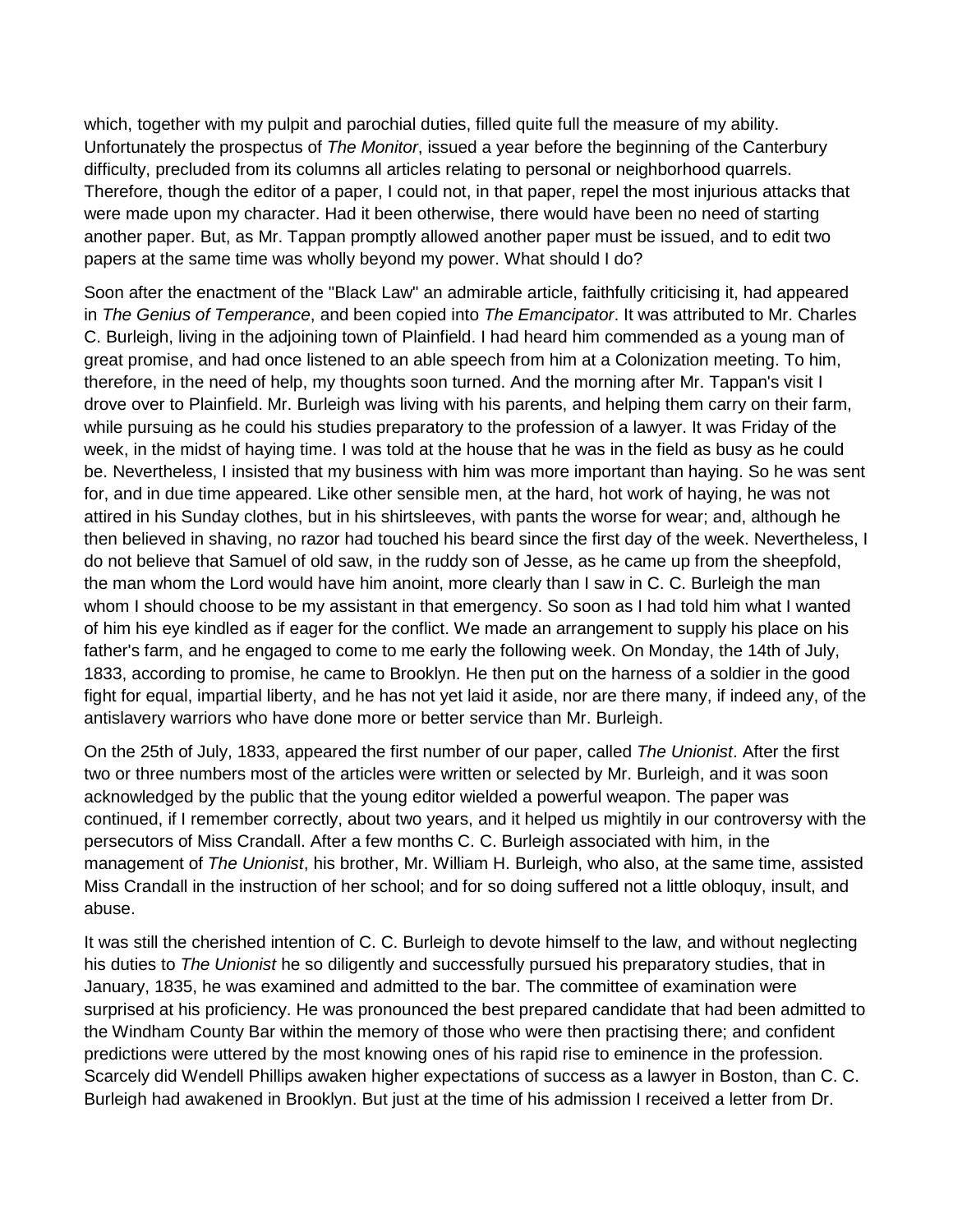which, together with my pulpit and parochial duties, filled quite full the measure of my ability. Unfortunately the prospectus of *The Monitor*, issued a year before the beginning of the Canterbury difficulty, precluded from its columns all articles relating to personal or neighborhood quarrels. Therefore, though the editor of a paper, I could not, in that paper, repel the most injurious attacks that were made upon my character. Had it been otherwise, there would have been no need of starting another paper. But, as Mr. Tappan promptly allowed another paper must be issued, and to edit two papers at the same time was wholly beyond my power. What should I do?

Soon after the enactment of the "Black Law" an admirable article, faithfully criticising it, had appeared in *The Genius of Temperance*, and been copied into *The Emancipator*. It was attributed to Mr. Charles C. Burleigh, living in the adjoining town of Plainfield. I had heard him commended as a young man of great promise, and had once listened to an able speech from him at a Colonization meeting. To him, therefore, in the need of help, my thoughts soon turned. And the morning after Mr. Tappan's visit I drove over to Plainfield. Mr. Burleigh was living with his parents, and helping them carry on their farm, while pursuing as he could his studies preparatory to the profession of a lawyer. It was Friday of the week, in the midst of haying time. I was told at the house that he was in the field as busy as he could be. Nevertheless, I insisted that my business with him was more important than haying. So he was sent for, and in due time appeared. Like other sensible men, at the hard, hot work of haying, he was not attired in his Sunday clothes, but in his shirtsleeves, with pants the worse for wear; and, although he then believed in shaving, no razor had touched his beard since the first day of the week. Nevertheless, I do not believe that Samuel of old saw, in the ruddy son of Jesse, as he came up from the sheepfold, the man whom the Lord would have him anoint, more clearly than I saw in C. C. Burleigh the man whom I should choose to be my assistant in that emergency. So soon as I had told him what I wanted of him his eye kindled as if eager for the conflict. We made an arrangement to supply his place on his father's farm, and he engaged to come to me early the following week. On Monday, the 14th of July, 1833, according to promise, he came to Brooklyn. He then put on the harness of a soldier in the good fight for equal, impartial liberty, and he has not yet laid it aside, nor are there many, if indeed any, of the antislavery warriors who have done more or better service than Mr. Burleigh.

On the 25th of July, 1833, appeared the first number of our paper, called *The Unionist*. After the first two or three numbers most of the articles were written or selected by Mr. Burleigh, and it was soon acknowledged by the public that the young editor wielded a powerful weapon. The paper was continued, if I remember correctly, about two years, and it helped us mightily in our controversy with the persecutors of Miss Crandall. After a few months C. C. Burleigh associated with him, in the management of *The Unionist*, his brother, Mr. William H. Burleigh, who also, at the same time, assisted Miss Crandall in the instruction of her school; and for so doing suffered not a little obloquy, insult, and abuse.

It was still the cherished intention of C. C. Burleigh to devote himself to the law, and without neglecting his duties to *The Unionist* he so diligently and successfully pursued his preparatory studies, that in January, 1835, he was examined and admitted to the bar. The committee of examination were surprised at his proficiency. He was pronounced the best prepared candidate that had been admitted to the Windham County Bar within the memory of those who were then practising there; and confident predictions were uttered by the most knowing ones of his rapid rise to eminence in the profession. Scarcely did Wendell Phillips awaken higher expectations of success as a lawyer in Boston, than C. C. Burleigh had awakened in Brooklyn. But just at the time of his admission I received a letter from Dr.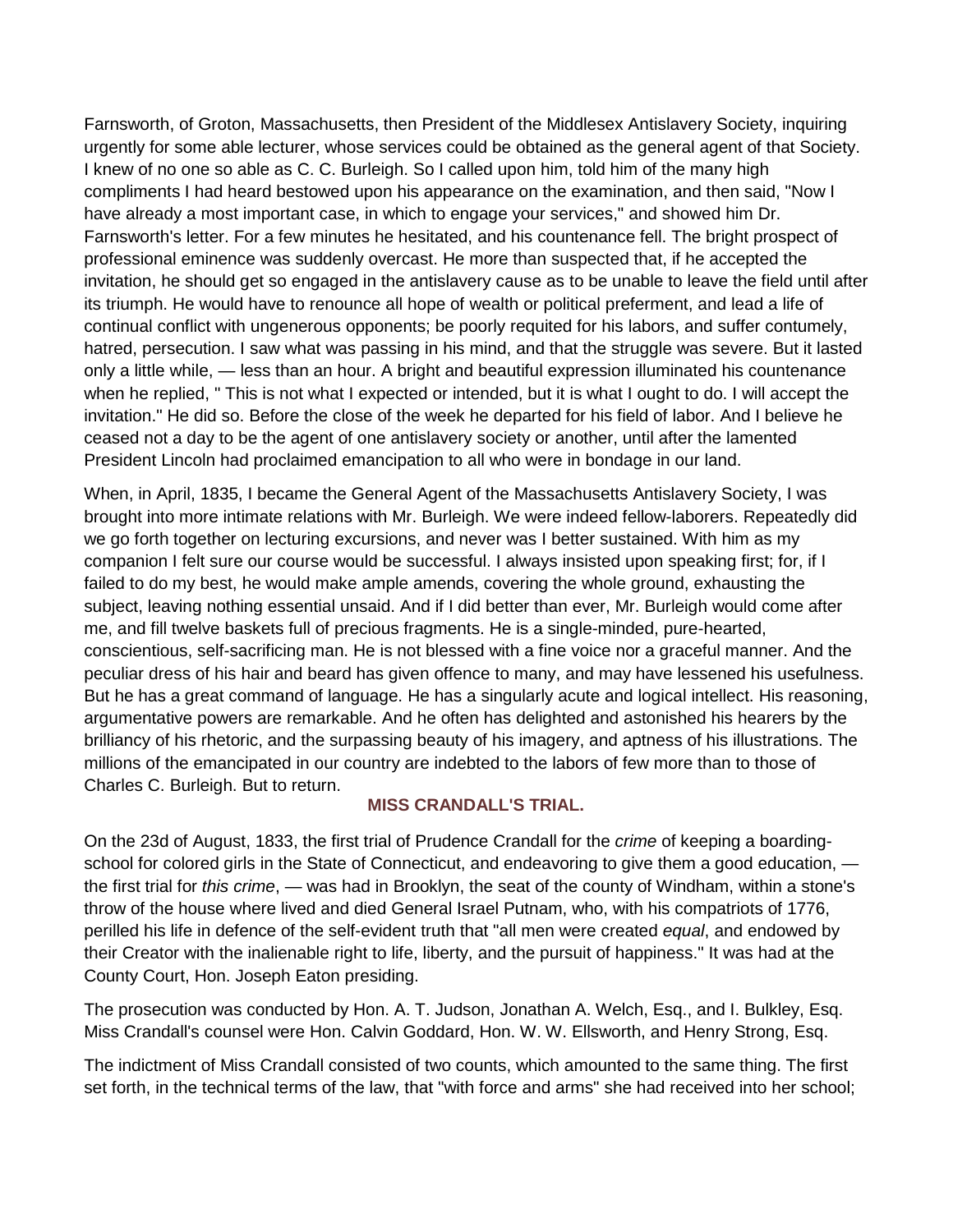Farnsworth, of Groton, Massachusetts, then President of the Middlesex Antislavery Society, inquiring urgently for some able lecturer, whose services could be obtained as the general agent of that Society. I knew of no one so able as C. C. Burleigh. So I called upon him, told him of the many high compliments I had heard bestowed upon his appearance on the examination, and then said, "Now I have already a most important case, in which to engage your services," and showed him Dr. Farnsworth's letter. For a few minutes he hesitated, and his countenance fell. The bright prospect of professional eminence was suddenly overcast. He more than suspected that, if he accepted the invitation, he should get so engaged in the antislavery cause as to be unable to leave the field until after its triumph. He would have to renounce all hope of wealth or political preferment, and lead a life of continual conflict with ungenerous opponents; be poorly requited for his labors, and suffer contumely, hatred, persecution. I saw what was passing in his mind, and that the struggle was severe. But it lasted only a little while, — less than an hour. A bright and beautiful expression illuminated his countenance when he replied, " This is not what I expected or intended, but it is what I ought to do. I will accept the invitation." He did so. Before the close of the week he departed for his field of labor. And I believe he ceased not a day to be the agent of one antislavery society or another, until after the lamented President Lincoln had proclaimed emancipation to all who were in bondage in our land.

When, in April, 1835, I became the General Agent of the Massachusetts Antislavery Society, I was brought into more intimate relations with Mr. Burleigh. We were indeed fellow-laborers. Repeatedly did we go forth together on lecturing excursions, and never was I better sustained. With him as my companion I felt sure our course would be successful. I always insisted upon speaking first; for, if I failed to do my best, he would make ample amends, covering the whole ground, exhausting the subject, leaving nothing essential unsaid. And if I did better than ever, Mr. Burleigh would come after me, and fill twelve baskets full of precious fragments. He is a single-minded, pure-hearted, conscientious, self-sacrificing man. He is not blessed with a fine voice nor a graceful manner. And the peculiar dress of his hair and beard has given offence to many, and may have lessened his usefulness. But he has a great command of language. He has a singularly acute and logical intellect. His reasoning, argumentative powers are remarkable. And he often has delighted and astonished his hearers by the brilliancy of his rhetoric, and the surpassing beauty of his imagery, and aptness of his illustrations. The millions of the emancipated in our country are indebted to the labors of few more than to those of Charles C. Burleigh. But to return.

## **MISS CRANDALL'S TRIAL.**

On the 23d of August, 1833, the first trial of Prudence Crandall for the *crime* of keeping a boardingschool for colored girls in the State of Connecticut, and endeavoring to give them a good education, the first trial for *this crime*, — was had in Brooklyn, the seat of the county of Windham, within a stone's throw of the house where lived and died General Israel Putnam, who, with his compatriots of 1776, perilled his life in defence of the self-evident truth that "all men were created *equal*, and endowed by their Creator with the inalienable right to life, liberty, and the pursuit of happiness." It was had at the County Court, Hon. Joseph Eaton presiding.

The prosecution was conducted by Hon. A. T. Judson, Jonathan A. Welch, Esq., and I. Bulkley, Esq. Miss Crandall's counsel were Hon. Calvin Goddard, Hon. W. W. Ellsworth, and Henry Strong, Esq.

The indictment of Miss Crandall consisted of two counts, which amounted to the same thing. The first set forth, in the technical terms of the law, that "with force and arms" she had received into her school;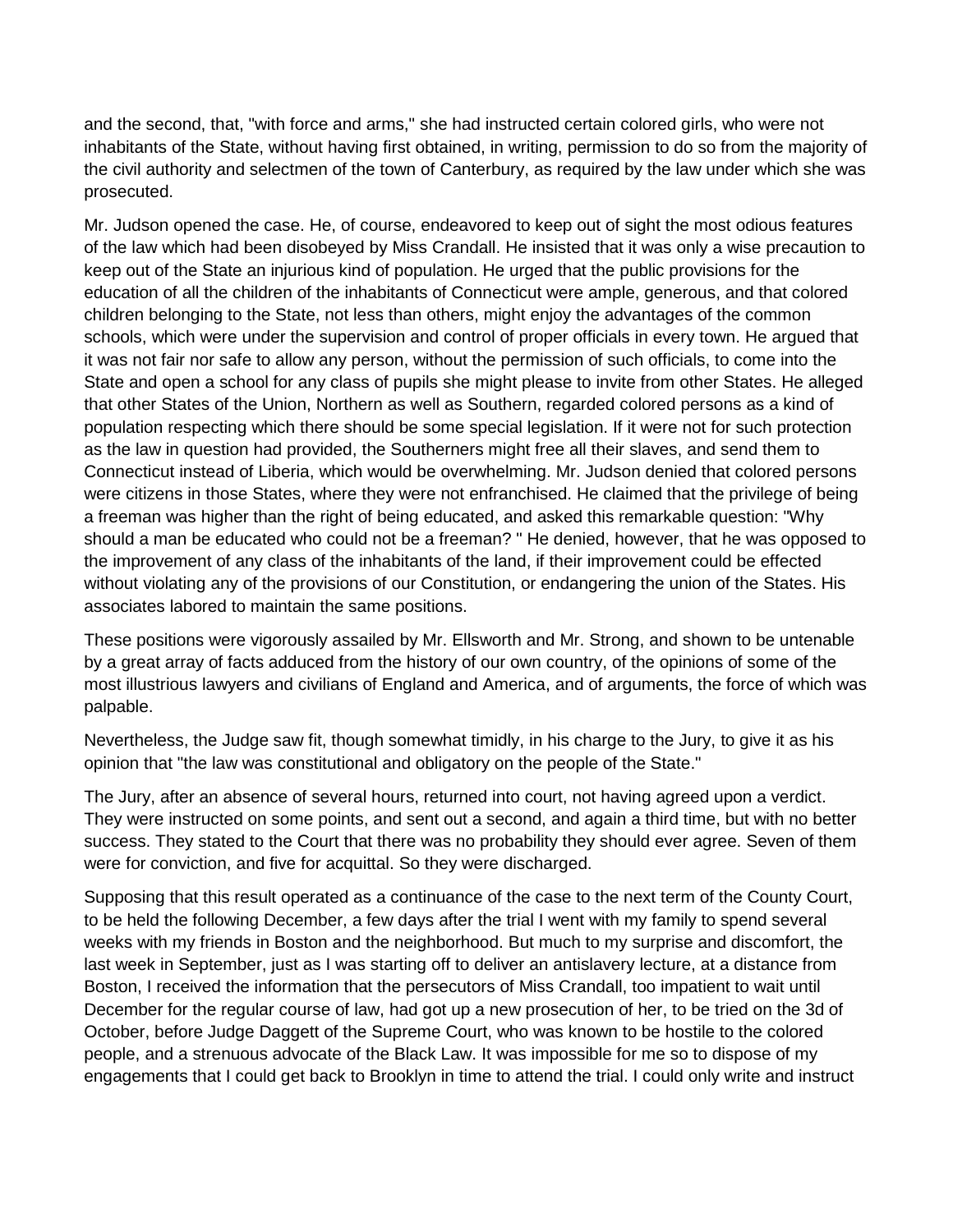and the second, that, "with force and arms," she had instructed certain colored girls, who were not inhabitants of the State, without having first obtained, in writing, permission to do so from the majority of the civil authority and selectmen of the town of Canterbury, as required by the law under which she was prosecuted.

Mr. Judson opened the case. He, of course, endeavored to keep out of sight the most odious features of the law which had been disobeyed by Miss Crandall. He insisted that it was only a wise precaution to keep out of the State an injurious kind of population. He urged that the public provisions for the education of all the children of the inhabitants of Connecticut were ample, generous, and that colored children belonging to the State, not less than others, might enjoy the advantages of the common schools, which were under the supervision and control of proper officials in every town. He argued that it was not fair nor safe to allow any person, without the permission of such officials, to come into the State and open a school for any class of pupils she might please to invite from other States. He alleged that other States of the Union, Northern as well as Southern, regarded colored persons as a kind of population respecting which there should be some special legislation. If it were not for such protection as the law in question had provided, the Southerners might free all their slaves, and send them to Connecticut instead of Liberia, which would be overwhelming. Mr. Judson denied that colored persons were citizens in those States, where they were not enfranchised. He claimed that the privilege of being a freeman was higher than the right of being educated, and asked this remarkable question: "Why should a man be educated who could not be a freeman? " He denied, however, that he was opposed to the improvement of any class of the inhabitants of the land, if their improvement could be effected without violating any of the provisions of our Constitution, or endangering the union of the States. His associates labored to maintain the same positions.

These positions were vigorously assailed by Mr. Ellsworth and Mr. Strong, and shown to be untenable by a great array of facts adduced from the history of our own country, of the opinions of some of the most illustrious lawyers and civilians of England and America, and of arguments, the force of which was palpable.

Nevertheless, the Judge saw fit, though somewhat timidly, in his charge to the Jury, to give it as his opinion that "the law was constitutional and obligatory on the people of the State."

The Jury, after an absence of several hours, returned into court, not having agreed upon a verdict. They were instructed on some points, and sent out a second, and again a third time, but with no better success. They stated to the Court that there was no probability they should ever agree. Seven of them were for conviction, and five for acquittal. So they were discharged.

Supposing that this result operated as a continuance of the case to the next term of the County Court, to be held the following December, a few days after the trial I went with my family to spend several weeks with my friends in Boston and the neighborhood. But much to my surprise and discomfort, the last week in September, just as I was starting off to deliver an antislavery lecture, at a distance from Boston, I received the information that the persecutors of Miss Crandall, too impatient to wait until December for the regular course of law, had got up a new prosecution of her, to be tried on the 3d of October, before Judge Daggett of the Supreme Court, who was known to be hostile to the colored people, and a strenuous advocate of the Black Law. It was impossible for me so to dispose of my engagements that I could get back to Brooklyn in time to attend the trial. I could only write and instruct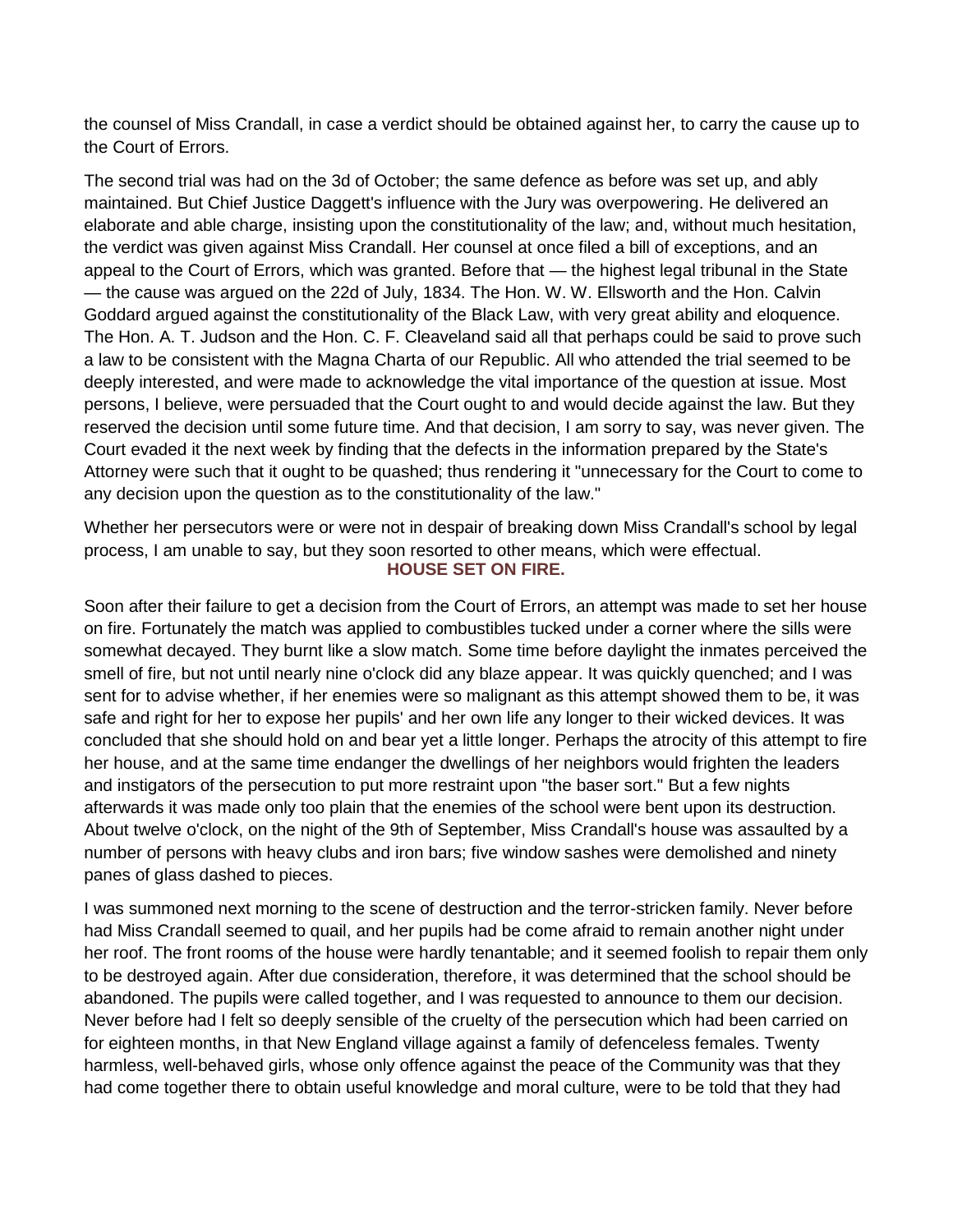the counsel of Miss Crandall, in case a verdict should be obtained against her, to carry the cause up to the Court of Errors.

The second trial was had on the 3d of October; the same defence as before was set up, and ably maintained. But Chief Justice Daggett's influence with the Jury was overpowering. He delivered an elaborate and able charge, insisting upon the constitutionality of the law; and, without much hesitation, the verdict was given against Miss Crandall. Her counsel at once filed a bill of exceptions, and an appeal to the Court of Errors, which was granted. Before that — the highest legal tribunal in the State — the cause was argued on the 22d of July, 1834. The Hon. W. W. Ellsworth and the Hon. Calvin Goddard argued against the constitutionality of the Black Law, with very great ability and eloquence. The Hon. A. T. Judson and the Hon. C. F. Cleaveland said all that perhaps could be said to prove such a law to be consistent with the Magna Charta of our Republic. All who attended the trial seemed to be deeply interested, and were made to acknowledge the vital importance of the question at issue. Most persons, I believe, were persuaded that the Court ought to and would decide against the law. But they reserved the decision until some future time. And that decision, I am sorry to say, was never given. The Court evaded it the next week by finding that the defects in the information prepared by the State's Attorney were such that it ought to be quashed; thus rendering it "unnecessary for the Court to come to any decision upon the question as to the constitutionality of the law."

Whether her persecutors were or were not in despair of breaking down Miss Crandall's school by legal process, I am unable to say, but they soon resorted to other means, which were effectual. **HOUSE SET ON FIRE.**

Soon after their failure to get a decision from the Court of Errors, an attempt was made to set her house on fire. Fortunately the match was applied to combustibles tucked under a corner where the sills were somewhat decayed. They burnt like a slow match. Some time before daylight the inmates perceived the smell of fire, but not until nearly nine o'clock did any blaze appear. It was quickly quenched; and I was sent for to advise whether, if her enemies were so malignant as this attempt showed them to be, it was safe and right for her to expose her pupils' and her own life any longer to their wicked devices. It was concluded that she should hold on and bear yet a little longer. Perhaps the atrocity of this attempt to fire her house, and at the same time endanger the dwellings of her neighbors would frighten the leaders and instigators of the persecution to put more restraint upon "the baser sort." But a few nights afterwards it was made only too plain that the enemies of the school were bent upon its destruction. About twelve o'clock, on the night of the 9th of September, Miss Crandall's house was assaulted by a number of persons with heavy clubs and iron bars; five window sashes were demolished and ninety panes of glass dashed to pieces.

I was summoned next morning to the scene of destruction and the terror-stricken family. Never before had Miss Crandall seemed to quail, and her pupils had be come afraid to remain another night under her roof. The front rooms of the house were hardly tenantable; and it seemed foolish to repair them only to be destroyed again. After due consideration, therefore, it was determined that the school should be abandoned. The pupils were called together, and I was requested to announce to them our decision. Never before had I felt so deeply sensible of the cruelty of the persecution which had been carried on for eighteen months, in that New England village against a family of defenceless females. Twenty harmless, well-behaved girls, whose only offence against the peace of the Community was that they had come together there to obtain useful knowledge and moral culture, were to be told that they had